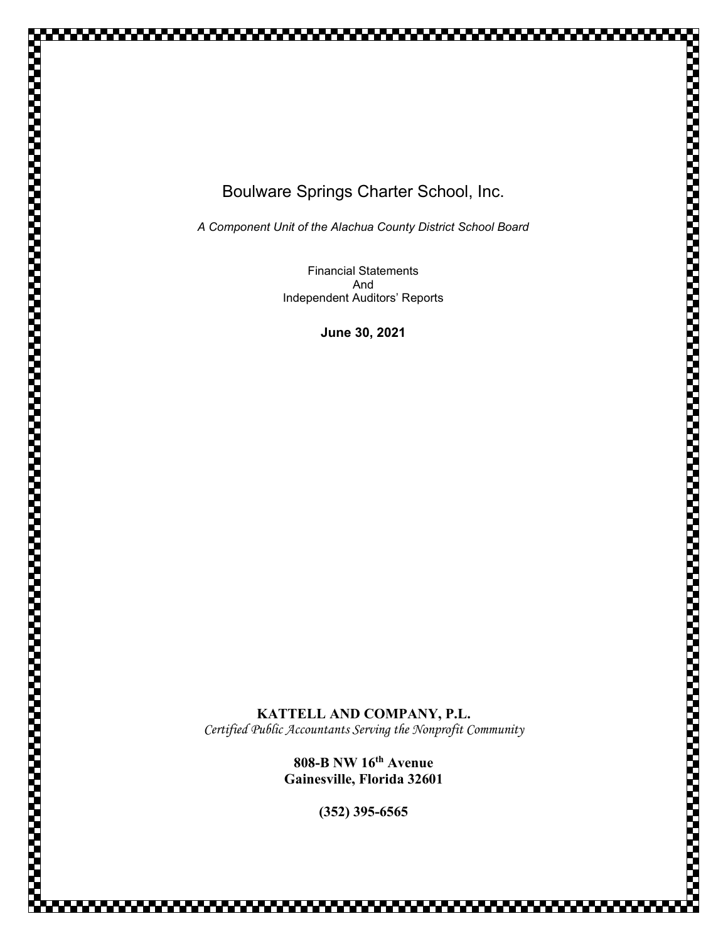# Boulware Springs Charter School, Inc.

,,,,,,,,,,,

*A Component Unit of the Alachua County District School Board*

Financial Statements And Independent Auditors' Reports

**June 30, 2021**

**KATTELL AND COMPANY, P.L.**  *Certified Public Accountants Serving the Nonprofit Community*

> **808-B NW 16th Avenue Gainesville, Florida 32601**

> > **(352) 395-6565**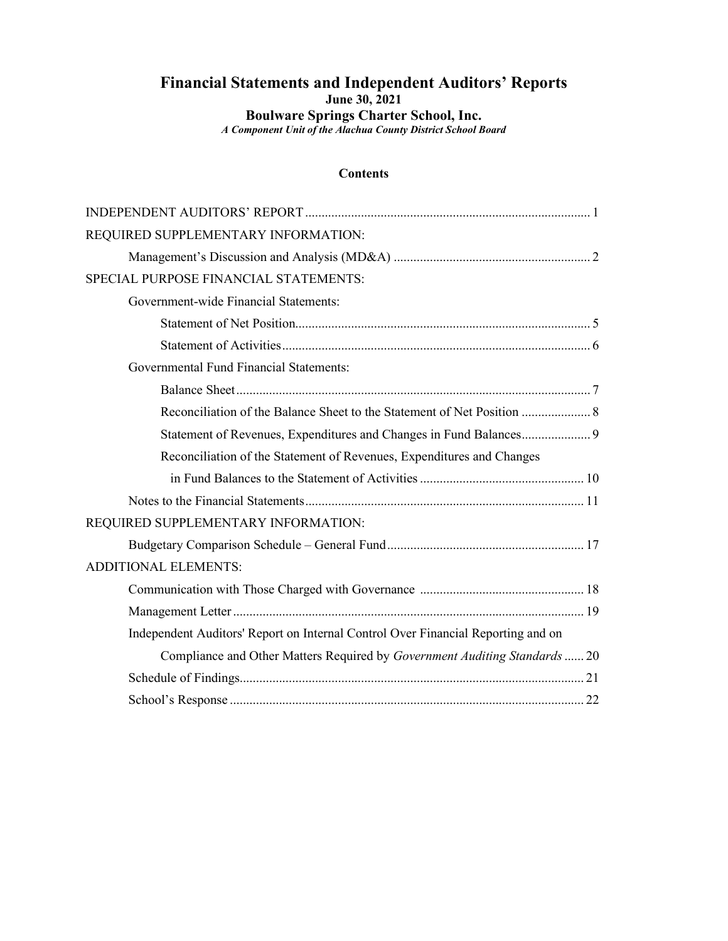# **Financial Statements and Independent Auditors' Reports June 30, 2021 Boulware Springs Charter School, Inc.**

*A Component Unit of the Alachua County District School Board*

### **Contents**

| REQUIRED SUPPLEMENTARY INFORMATION:                                              |  |
|----------------------------------------------------------------------------------|--|
|                                                                                  |  |
| SPECIAL PURPOSE FINANCIAL STATEMENTS:                                            |  |
| Government-wide Financial Statements:                                            |  |
|                                                                                  |  |
|                                                                                  |  |
| Governmental Fund Financial Statements:                                          |  |
|                                                                                  |  |
| Reconciliation of the Balance Sheet to the Statement of Net Position  8          |  |
| Statement of Revenues, Expenditures and Changes in Fund Balances 9               |  |
| Reconciliation of the Statement of Revenues, Expenditures and Changes            |  |
|                                                                                  |  |
|                                                                                  |  |
| REQUIRED SUPPLEMENTARY INFORMATION:                                              |  |
|                                                                                  |  |
| <b>ADDITIONAL ELEMENTS:</b>                                                      |  |
|                                                                                  |  |
|                                                                                  |  |
| Independent Auditors' Report on Internal Control Over Financial Reporting and on |  |
| Compliance and Other Matters Required by Government Auditing Standards  20       |  |
|                                                                                  |  |
|                                                                                  |  |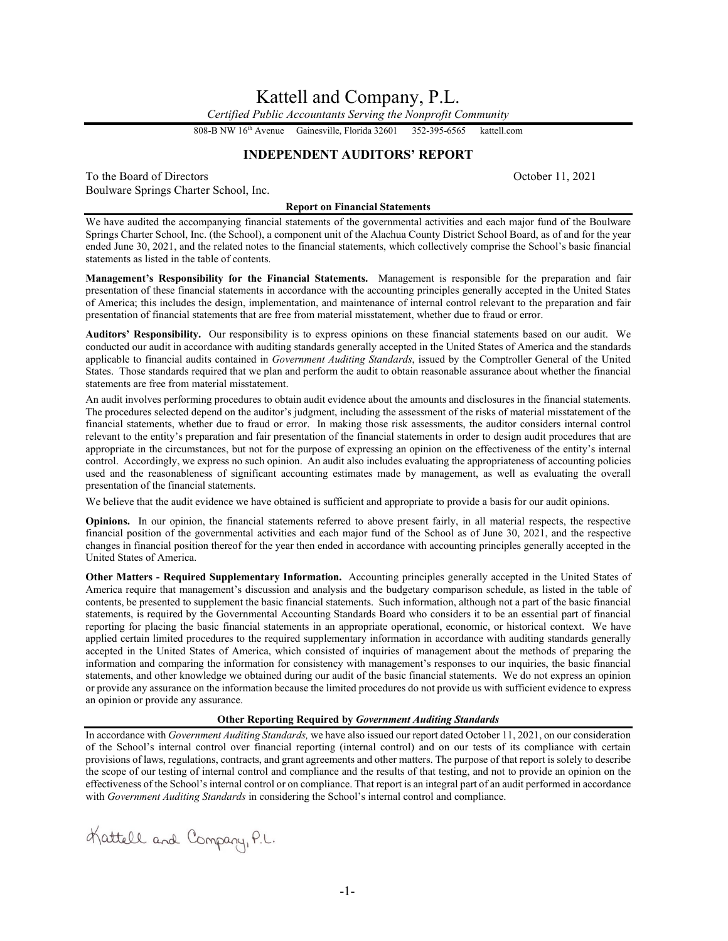*Certified Public Accountants Serving the Nonprofit Community*

808-B NW 16th Avenue Gainesville, Florida 32601 352-395-6565 kattell.com

### **INDEPENDENT AUDITORS' REPORT**

To the Board of Directors Contact Contact Contact Contact Contact Contact Contact Contact Contact Contact Contact Contact Contact Contact Contact Contact Contact Contact Contact Contact Contact Contact Contact Contact Cont Boulware Springs Charter School, Inc.

**Report on Financial Statements**

We have audited the accompanying financial statements of the governmental activities and each major fund of the Boulware Springs Charter School, Inc. (the School), a component unit of the Alachua County District School Board, as of and for the year ended June 30, 2021, and the related notes to the financial statements, which collectively comprise the School's basic financial statements as listed in the table of contents.

**Management's Responsibility for the Financial Statements.** Management is responsible for the preparation and fair presentation of these financial statements in accordance with the accounting principles generally accepted in the United States of America; this includes the design, implementation, and maintenance of internal control relevant to the preparation and fair presentation of financial statements that are free from material misstatement, whether due to fraud or error.

**Auditors' Responsibility.** Our responsibility is to express opinions on these financial statements based on our audit. We conducted our audit in accordance with auditing standards generally accepted in the United States of America and the standards applicable to financial audits contained in *Government Auditing Standards*, issued by the Comptroller General of the United States. Those standards required that we plan and perform the audit to obtain reasonable assurance about whether the financial statements are free from material misstatement.

An audit involves performing procedures to obtain audit evidence about the amounts and disclosures in the financial statements. The procedures selected depend on the auditor's judgment, including the assessment of the risks of material misstatement of the financial statements, whether due to fraud or error. In making those risk assessments, the auditor considers internal control relevant to the entity's preparation and fair presentation of the financial statements in order to design audit procedures that are appropriate in the circumstances, but not for the purpose of expressing an opinion on the effectiveness of the entity's internal control. Accordingly, we express no such opinion. An audit also includes evaluating the appropriateness of accounting policies used and the reasonableness of significant accounting estimates made by management, as well as evaluating the overall presentation of the financial statements.

We believe that the audit evidence we have obtained is sufficient and appropriate to provide a basis for our audit opinions.

**Opinions.** In our opinion, the financial statements referred to above present fairly, in all material respects, the respective financial position of the governmental activities and each major fund of the School as of June 30, 2021, and the respective changes in financial position thereof for the year then ended in accordance with accounting principles generally accepted in the United States of America.

**Other Matters - Required Supplementary Information.** Accounting principles generally accepted in the United States of America require that management's discussion and analysis and the budgetary comparison schedule, as listed in the table of contents, be presented to supplement the basic financial statements. Such information, although not a part of the basic financial statements, is required by the Governmental Accounting Standards Board who considers it to be an essential part of financial reporting for placing the basic financial statements in an appropriate operational, economic, or historical context. We have applied certain limited procedures to the required supplementary information in accordance with auditing standards generally accepted in the United States of America, which consisted of inquiries of management about the methods of preparing the information and comparing the information for consistency with management's responses to our inquiries, the basic financial statements, and other knowledge we obtained during our audit of the basic financial statements. We do not express an opinion or provide any assurance on the information because the limited procedures do not provide us with sufficient evidence to express an opinion or provide any assurance.

#### **Other Reporting Required by** *Government Auditing Standards*

In accordance with *Government Auditing Standards,* we have also issued our report dated October 11, 2021, on our consideration of the School's internal control over financial reporting (internal control) and on our tests of its compliance with certain provisions of laws, regulations, contracts, and grant agreements and other matters. The purpose of that report is solely to describe the scope of our testing of internal control and compliance and the results of that testing, and not to provide an opinion on the effectiveness of the School's internal control or on compliance. That report is an integral part of an audit performed in accordance with *Government Auditing Standards* in considering the School's internal control and compliance.

Kattell and Company, P.L.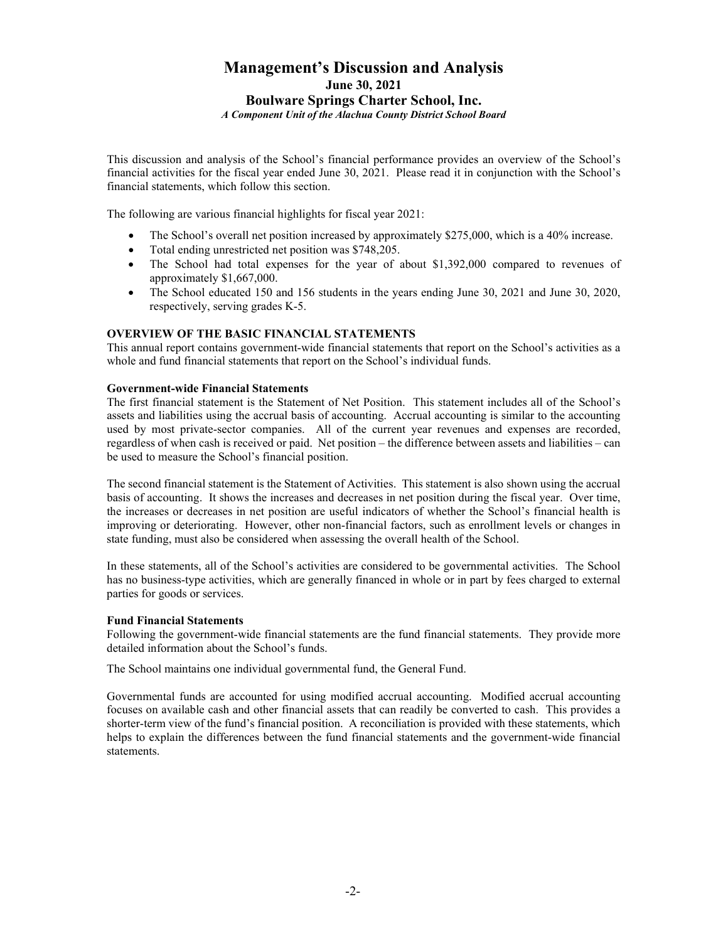# **Management's Discussion and Analysis June 30, 2021 Boulware Springs Charter School, Inc.**

*A Component Unit of the Alachua County District School Board*

This discussion and analysis of the School's financial performance provides an overview of the School's financial activities for the fiscal year ended June 30, 2021. Please read it in conjunction with the School's financial statements, which follow this section.

The following are various financial highlights for fiscal year 2021:

- The School's overall net position increased by approximately \$275,000, which is a 40% increase.
- Total ending unrestricted net position was \$748,205.
- The School had total expenses for the year of about \$1,392,000 compared to revenues of approximately \$1,667,000.
- The School educated 150 and 156 students in the years ending June 30, 2021 and June 30, 2020, respectively, serving grades K-5.

### **OVERVIEW OF THE BASIC FINANCIAL STATEMENTS**

This annual report contains government-wide financial statements that report on the School's activities as a whole and fund financial statements that report on the School's individual funds.

#### **Government-wide Financial Statements**

The first financial statement is the Statement of Net Position. This statement includes all of the School's assets and liabilities using the accrual basis of accounting. Accrual accounting is similar to the accounting used by most private-sector companies. All of the current year revenues and expenses are recorded, regardless of when cash is received or paid. Net position – the difference between assets and liabilities – can be used to measure the School's financial position.

The second financial statement is the Statement of Activities. This statement is also shown using the accrual basis of accounting. It shows the increases and decreases in net position during the fiscal year. Over time, the increases or decreases in net position are useful indicators of whether the School's financial health is improving or deteriorating. However, other non-financial factors, such as enrollment levels or changes in state funding, must also be considered when assessing the overall health of the School.

In these statements, all of the School's activities are considered to be governmental activities. The School has no business-type activities, which are generally financed in whole or in part by fees charged to external parties for goods or services.

#### **Fund Financial Statements**

Following the government-wide financial statements are the fund financial statements. They provide more detailed information about the School's funds.

The School maintains one individual governmental fund, the General Fund.

Governmental funds are accounted for using modified accrual accounting. Modified accrual accounting focuses on available cash and other financial assets that can readily be converted to cash. This provides a shorter-term view of the fund's financial position. A reconciliation is provided with these statements, which helps to explain the differences between the fund financial statements and the government-wide financial statements.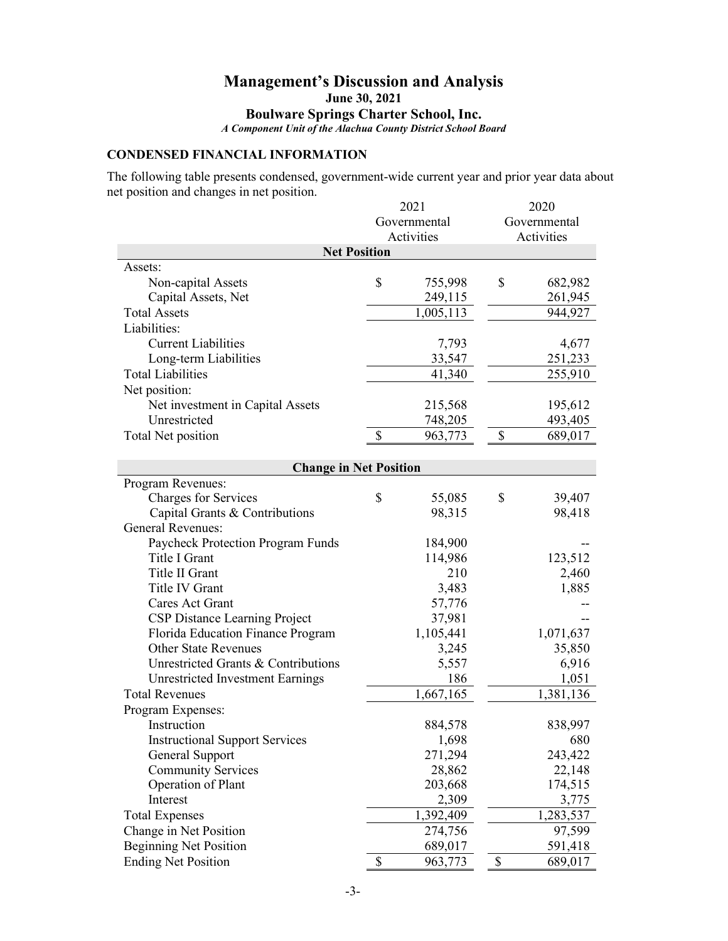## **Management's Discussion and Analysis June 30, 2021 Boulware Springs Charter School, Inc.**

*A Component Unit of the Alachua County District School Board*

## **CONDENSED FINANCIAL INFORMATION**

The following table presents condensed, government-wide current year and prior year data about net position and changes in net position.

|                                       |                           | 2021         | 2020         |           |  |  |
|---------------------------------------|---------------------------|--------------|--------------|-----------|--|--|
|                                       |                           | Governmental | Governmental |           |  |  |
|                                       |                           | Activities   | Activities   |           |  |  |
| <b>Net Position</b>                   |                           |              |              |           |  |  |
| Assets:                               |                           |              |              |           |  |  |
| Non-capital Assets                    | \$                        | 755,998      | \$           | 682,982   |  |  |
| Capital Assets, Net                   |                           | 249,115      |              | 261,945   |  |  |
| <b>Total Assets</b>                   |                           | 1,005,113    |              | 944,927   |  |  |
| Liabilities:                          |                           |              |              |           |  |  |
| <b>Current Liabilities</b>            |                           | 7,793        |              | 4,677     |  |  |
| Long-term Liabilities                 |                           | 33,547       |              | 251,233   |  |  |
| <b>Total Liabilities</b>              |                           | 41,340       |              | 255,910   |  |  |
| Net position:                         |                           |              |              |           |  |  |
| Net investment in Capital Assets      |                           | 215,568      |              | 195,612   |  |  |
| Unrestricted                          |                           | 748,205      |              | 493,405   |  |  |
| <b>Total Net position</b>             | $\boldsymbol{\mathsf{S}}$ | 963,773      | \$           | 689,017   |  |  |
|                                       |                           |              |              |           |  |  |
| <b>Change in Net Position</b>         |                           |              |              |           |  |  |
| Program Revenues:                     |                           |              |              |           |  |  |
| <b>Charges for Services</b>           | \$                        | 55,085       | \$           | 39,407    |  |  |
| Capital Grants & Contributions        |                           | 98,315       |              | 98,418    |  |  |
| <b>General Revenues:</b>              |                           |              |              |           |  |  |
| Paycheck Protection Program Funds     |                           | 184,900      |              |           |  |  |
| Title I Grant                         |                           | 114,986      |              | 123,512   |  |  |
| Title II Grant                        |                           | 210          |              | 2,460     |  |  |
| Title IV Grant                        |                           | 3,483        |              | 1,885     |  |  |
| Cares Act Grant                       |                           | 57,776       |              |           |  |  |
| <b>CSP Distance Learning Project</b>  |                           | 37,981       |              |           |  |  |
| Florida Education Finance Program     |                           | 1,105,441    |              | 1,071,637 |  |  |
| <b>Other State Revenues</b>           |                           | 3,245        |              | 35,850    |  |  |
| Unrestricted Grants & Contributions   |                           | 5,557        |              | 6,916     |  |  |
| Unrestricted Investment Earnings      |                           | 186          |              | 1,051     |  |  |
| <b>Total Revenues</b>                 |                           | 1,667,165    |              | 1,381,136 |  |  |
| Program Expenses:                     |                           |              |              |           |  |  |
| Instruction                           |                           | 884,578      |              | 838,997   |  |  |
| <b>Instructional Support Services</b> |                           | 1,698        |              | 680       |  |  |
| General Support                       |                           | 271,294      |              | 243,422   |  |  |
| <b>Community Services</b>             |                           | 28,862       |              | 22,148    |  |  |
| Operation of Plant                    |                           | 203,668      |              | 174,515   |  |  |
| Interest                              |                           | 2,309        |              | 3,775     |  |  |
| <b>Total Expenses</b>                 |                           | 1,392,409    |              | 1,283,537 |  |  |
| Change in Net Position                |                           | 274,756      |              | 97,599    |  |  |
| <b>Beginning Net Position</b>         |                           | 689,017      |              | 591,418   |  |  |
| <b>Ending Net Position</b>            | \$                        | 963,773      | \$           | 689,017   |  |  |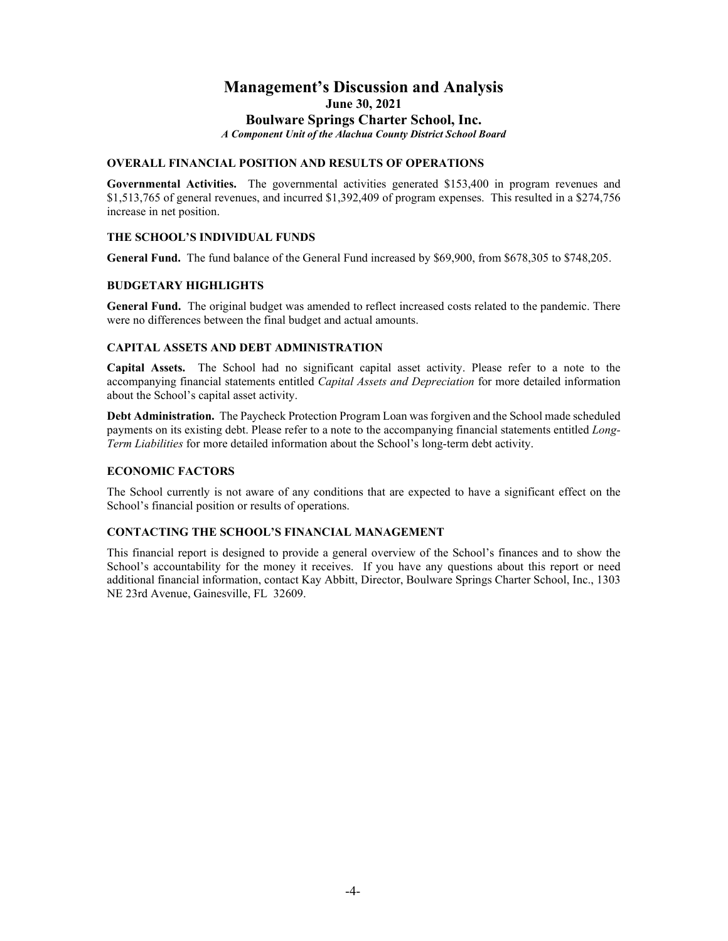## **Management's Discussion and Analysis June 30, 2021**

#### **Boulware Springs Charter School, Inc.**

*A Component Unit of the Alachua County District School Board*

### **OVERALL FINANCIAL POSITION AND RESULTS OF OPERATIONS**

**Governmental Activities.** The governmental activities generated \$153,400 in program revenues and \$1,513,765 of general revenues, and incurred \$1,392,409 of program expenses. This resulted in a \$274,756 increase in net position.

#### **THE SCHOOL'S INDIVIDUAL FUNDS**

**General Fund.** The fund balance of the General Fund increased by \$69,900, from \$678,305 to \$748,205.

#### **BUDGETARY HIGHLIGHTS**

**General Fund.** The original budget was amended to reflect increased costs related to the pandemic. There were no differences between the final budget and actual amounts.

### **CAPITAL ASSETS AND DEBT ADMINISTRATION**

**Capital Assets.** The School had no significant capital asset activity. Please refer to a note to the accompanying financial statements entitled *Capital Assets and Depreciation* for more detailed information about the School's capital asset activity.

**Debt Administration.** The Paycheck Protection Program Loan was forgiven and the School made scheduled payments on its existing debt. Please refer to a note to the accompanying financial statements entitled *Long-Term Liabilities* for more detailed information about the School's long-term debt activity.

#### **ECONOMIC FACTORS**

The School currently is not aware of any conditions that are expected to have a significant effect on the School's financial position or results of operations.

#### **CONTACTING THE SCHOOL'S FINANCIAL MANAGEMENT**

This financial report is designed to provide a general overview of the School's finances and to show the School's accountability for the money it receives. If you have any questions about this report or need additional financial information, contact Kay Abbitt, Director, Boulware Springs Charter School, Inc., 1303 NE 23rd Avenue, Gainesville, FL 32609.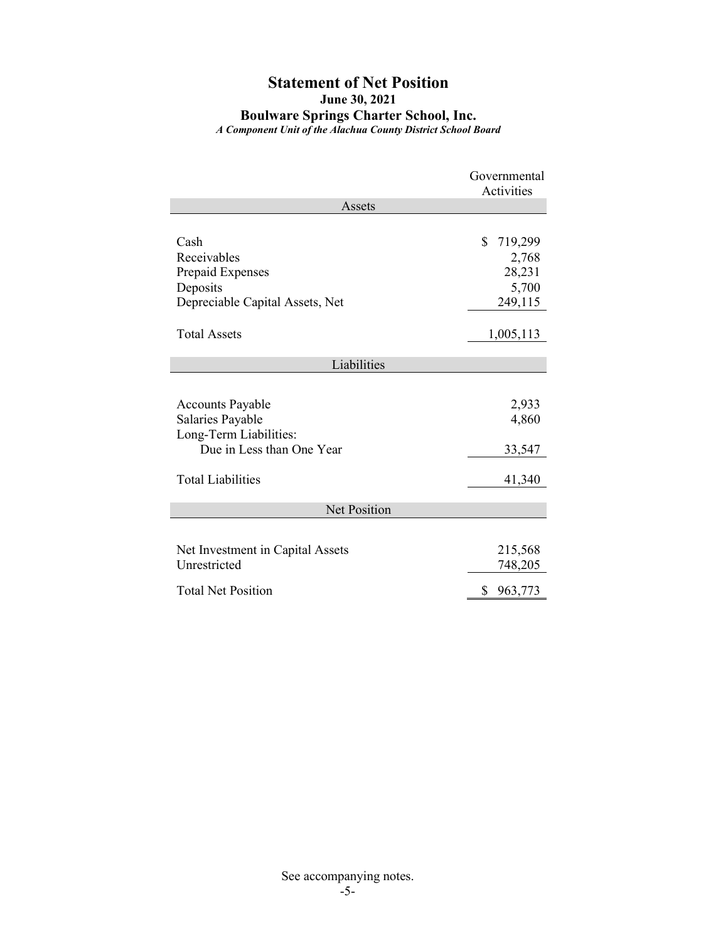# **Statement of Net Position June 30, 2021 Boulware Springs Charter School, Inc.**

|                                  | Governmental  |
|----------------------------------|---------------|
|                                  | Activities    |
| Assets                           |               |
|                                  |               |
| Cash                             | \$<br>719,299 |
| Receivables                      | 2,768         |
| Prepaid Expenses                 | 28,231        |
| Deposits                         | 5,700         |
| Depreciable Capital Assets, Net  | 249,115       |
|                                  |               |
| <b>Total Assets</b>              | 1,005,113     |
|                                  |               |
| Liabilities                      |               |
|                                  |               |
| <b>Accounts Payable</b>          | 2,933         |
| Salaries Payable                 | 4,860         |
| Long-Term Liabilities:           |               |
| Due in Less than One Year        | 33,547        |
|                                  |               |
| <b>Total Liabilities</b>         | 41,340        |
|                                  |               |
| <b>Net Position</b>              |               |
|                                  |               |
| Net Investment in Capital Assets | 215,568       |
| Unrestricted                     | 748,205       |
|                                  |               |
| <b>Total Net Position</b>        | \$<br>963,773 |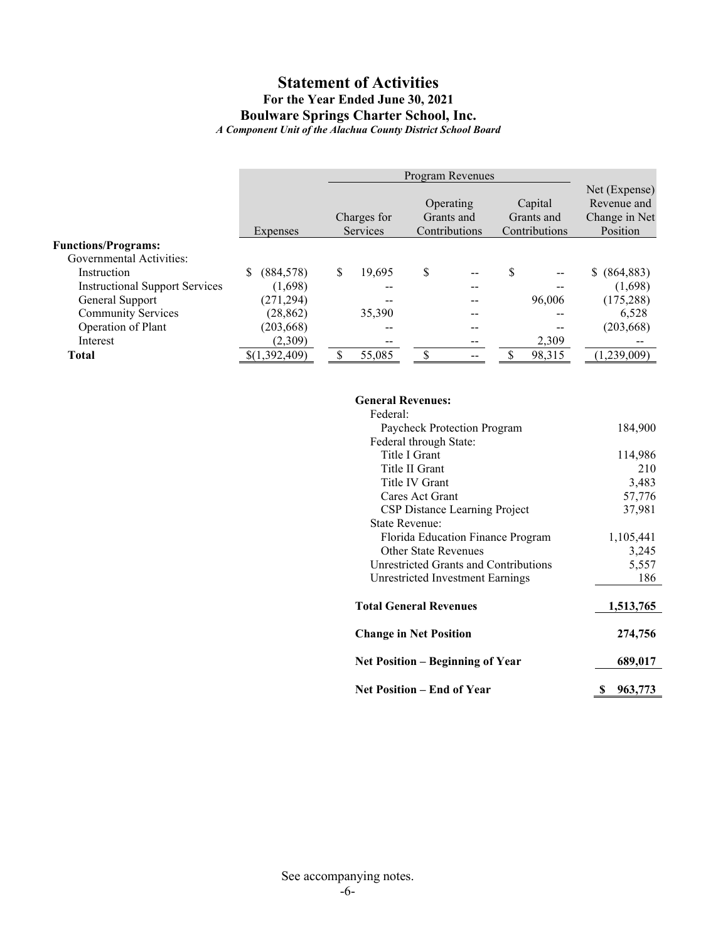# **Statement of Activities For the Year Ended June 30, 2021 Boulware Springs Charter School, Inc.**

*A Component Unit of the Alachua County District School Board*

|                                       |                | Program Revenues |                 |     |               |   |               |               |  |
|---------------------------------------|----------------|------------------|-----------------|-----|---------------|---|---------------|---------------|--|
|                                       |                |                  |                 |     |               |   |               | Net (Expense) |  |
|                                       |                |                  |                 |     | Operating     |   | Capital       | Revenue and   |  |
|                                       |                |                  | Charges for     |     | Grants and    |   | Grants and    | Change in Net |  |
|                                       | Expenses       |                  | <b>Services</b> |     | Contributions |   | Contributions | Position      |  |
| <b>Functions/Programs:</b>            |                |                  |                 |     |               |   |               |               |  |
| Governmental Activities:              |                |                  |                 |     |               |   |               |               |  |
| Instruction                           | S<br>(884,578) | \$               | 19,695          | S   | $- -$         | S |               | \$ (864,883)  |  |
| <b>Instructional Support Services</b> | (1,698)        |                  |                 |     | $- -$         |   |               | (1,698)       |  |
| General Support                       | (271, 294)     |                  |                 |     | --            |   | 96,006        | (175, 288)    |  |
| <b>Community Services</b>             | (28, 862)      |                  | 35,390          |     | $- -$         |   |               | 6,528         |  |
| Operation of Plant                    | (203, 668)     |                  |                 |     |               |   |               | (203, 668)    |  |
| Interest                              | (2,309)        |                  | --              |     | --            |   | 2,309         | $- -$         |  |
| <b>Total</b>                          | \$(1,392,409)  |                  | 55,085          | ــه |               |   | 98,315        | (1,239,009)   |  |

#### **General Revenues:**  $F^{-1}$

| Federal:                                |               |
|-----------------------------------------|---------------|
| Paycheck Protection Program             | 184,900       |
| Federal through State:                  |               |
| Title I Grant                           | 114,986       |
| Title II Grant                          | 210           |
| Title IV Grant                          | 3,483         |
| Cares Act Grant                         | 57,776        |
| CSP Distance Learning Project           | 37,981        |
| State Revenue:                          |               |
| Florida Education Finance Program       | 1,105,441     |
| <b>Other State Revenues</b>             | 3,245         |
| Unrestricted Grants and Contributions   | 5,557         |
| <b>Unrestricted Investment Earnings</b> | 186           |
| Total General Revenues                  | 1,513,765     |
| <b>Change in Net Position</b>           | 274,756       |
| <b>Net Position – Beginning of Year</b> | 689,017       |
| Net Position – End of Year              | 963,773<br>\$ |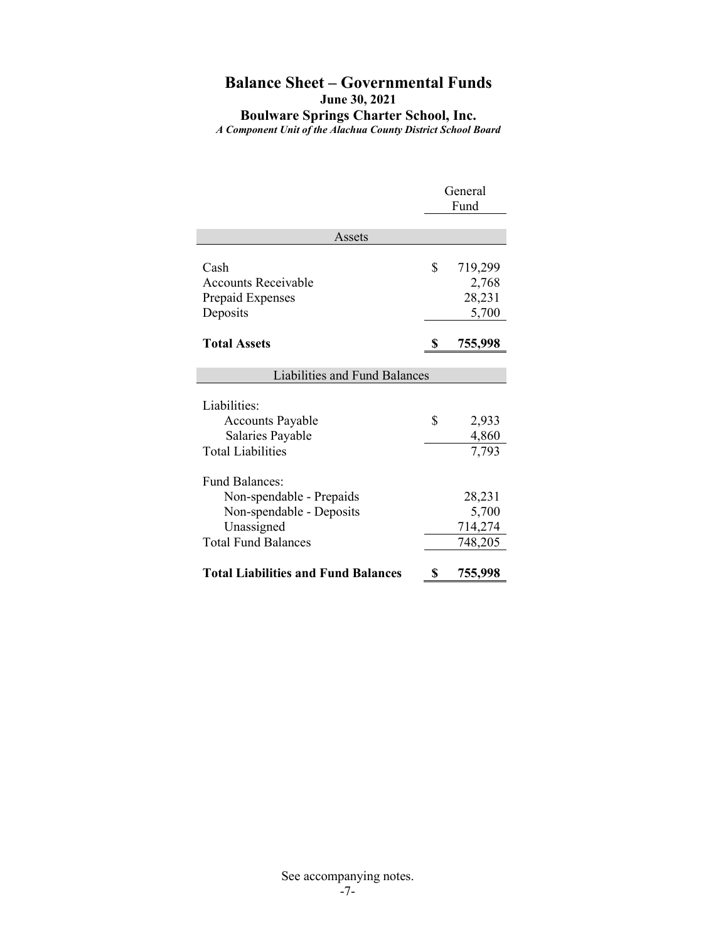# **Balance Sheet – Governmental Funds June 30, 2021 Boulware Springs Charter School, Inc.**

|                                            |    | General<br>Fund |
|--------------------------------------------|----|-----------------|
| Assets                                     |    |                 |
|                                            |    |                 |
| Cash                                       | \$ | 719,299         |
| <b>Accounts Receivable</b>                 |    | 2,768           |
| Prepaid Expenses                           |    | 28,231          |
| Deposits                                   |    | 5,700           |
| <b>Total Assets</b>                        | \$ | 755,998         |
|                                            |    |                 |
| Liabilities and Fund Balances              |    |                 |
|                                            |    |                 |
| Liabilities:                               |    |                 |
| <b>Accounts Payable</b>                    | \$ | 2,933           |
| Salaries Payable                           |    | 4,860           |
| <b>Total Liabilities</b>                   |    | 7,793           |
| <b>Fund Balances:</b>                      |    |                 |
| Non-spendable - Prepaids                   |    | 28,231          |
| Non-spendable - Deposits                   |    | 5,700           |
| Unassigned                                 |    | 714,274         |
| <b>Total Fund Balances</b>                 |    | 748,205         |
| <b>Total Liabilities and Fund Balances</b> | \$ | 755,998         |
|                                            |    |                 |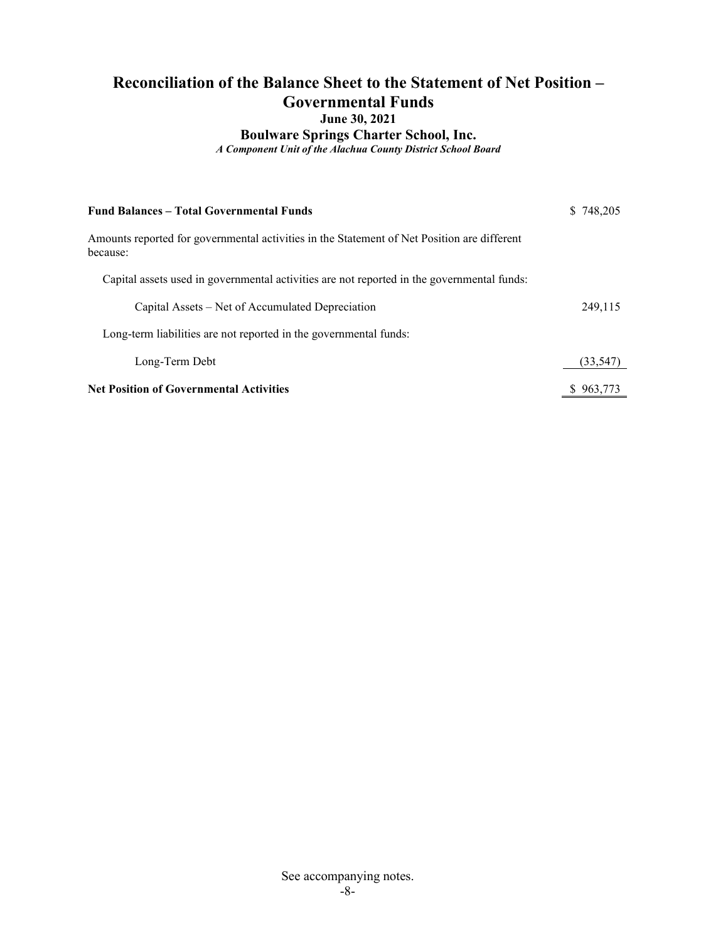# **Reconciliation of the Balance Sheet to the Statement of Net Position – Governmental Funds**

**June 30, 2021**

**Boulware Springs Charter School, Inc.**

| <b>Fund Balances – Total Governmental Funds</b>                                                         | \$748,205 |
|---------------------------------------------------------------------------------------------------------|-----------|
| Amounts reported for governmental activities in the Statement of Net Position are different<br>because: |           |
| Capital assets used in governmental activities are not reported in the governmental funds:              |           |
| Capital Assets – Net of Accumulated Depreciation                                                        | 249,115   |
| Long-term liabilities are not reported in the governmental funds:                                       |           |
| Long-Term Debt                                                                                          | (33, 547) |
| <b>Net Position of Governmental Activities</b>                                                          | \$963,773 |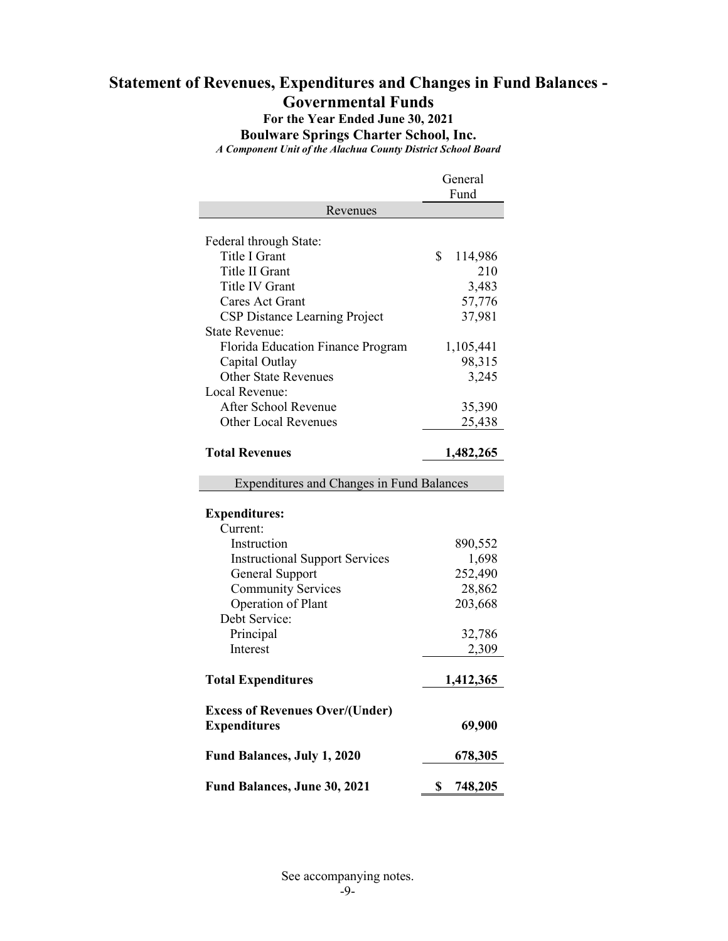## **Statement of Revenues, Expenditures and Changes in Fund Balances - Governmental Funds For the Year Ended June 30, 2021**

**Boulware Springs Charter School, Inc.**

|                                           | General       |
|-------------------------------------------|---------------|
|                                           | Fund          |
| Revenues                                  |               |
|                                           |               |
| Federal through State:                    |               |
| Title I Grant                             | \$<br>114,986 |
| Title II Grant                            | 210           |
| Title IV Grant                            | 3,483         |
| Cares Act Grant                           | 57,776        |
| CSP Distance Learning Project             | 37,981        |
| <b>State Revenue:</b>                     |               |
| Florida Education Finance Program         | 1,105,441     |
| Capital Outlay                            | 98,315        |
| <b>Other State Revenues</b>               | 3,245         |
| Local Revenue:                            |               |
| After School Revenue                      | 35,390        |
| <b>Other Local Revenues</b>               | 25,438        |
|                                           |               |
| <b>Total Revenues</b>                     | 1,482,265     |
|                                           |               |
| Expenditures and Changes in Fund Balances |               |
| <b>Expenditures:</b>                      |               |
| Current:                                  |               |
| Instruction                               | 890,552       |
| <b>Instructional Support Services</b>     | 1,698         |
| General Support                           | 252,490       |
| <b>Community Services</b>                 | 28,862        |
| Operation of Plant                        | 203,668       |
| Debt Service:                             |               |
| Principal                                 | 32,786        |
| Interest                                  | 2,309         |
|                                           |               |
| <b>Total Expenditures</b>                 | 1,412,365     |
| <b>Excess of Revenues Over/(Under)</b>    |               |
| <b>Expenditures</b>                       | 69,900        |
|                                           |               |
| <b>Fund Balances, July 1, 2020</b>        | 678,305       |
| Fund Balances, June 30, 2021              | \$<br>748,205 |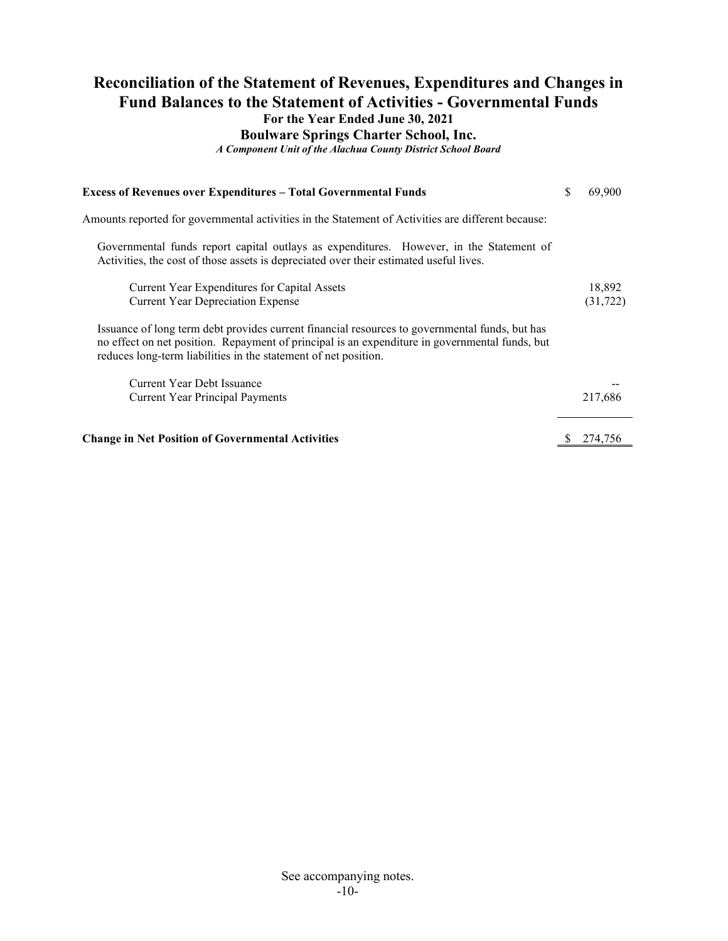# **Reconciliation of the Statement of Revenues, Expenditures and Changes in Fund Balances to the Statement of Activities - Governmental Funds For the Year Ended June 30, 2021 Boulware Springs Charter School, Inc.**

| <b>Excess of Revenues over Expenditures – Total Governmental Funds</b>                                                                                                                                                                                              | S | 69,900              |
|---------------------------------------------------------------------------------------------------------------------------------------------------------------------------------------------------------------------------------------------------------------------|---|---------------------|
| Amounts reported for governmental activities in the Statement of Activities are different because:                                                                                                                                                                  |   |                     |
| Governmental funds report capital outlays as expenditures. However, in the Statement of<br>Activities, the cost of those assets is depreciated over their estimated useful lives.                                                                                   |   |                     |
| Current Year Expenditures for Capital Assets<br><b>Current Year Depreciation Expense</b>                                                                                                                                                                            |   | 18,892<br>(31, 722) |
| Issuance of long term debt provides current financial resources to governmental funds, but has<br>no effect on net position. Repayment of principal is an expenditure in governmental funds, but<br>reduces long-term liabilities in the statement of net position. |   |                     |
| Current Year Debt Issuance                                                                                                                                                                                                                                          |   |                     |
| <b>Current Year Principal Payments</b>                                                                                                                                                                                                                              |   | 217,686             |
| <b>Change in Net Position of Governmental Activities</b>                                                                                                                                                                                                            |   | 274.756             |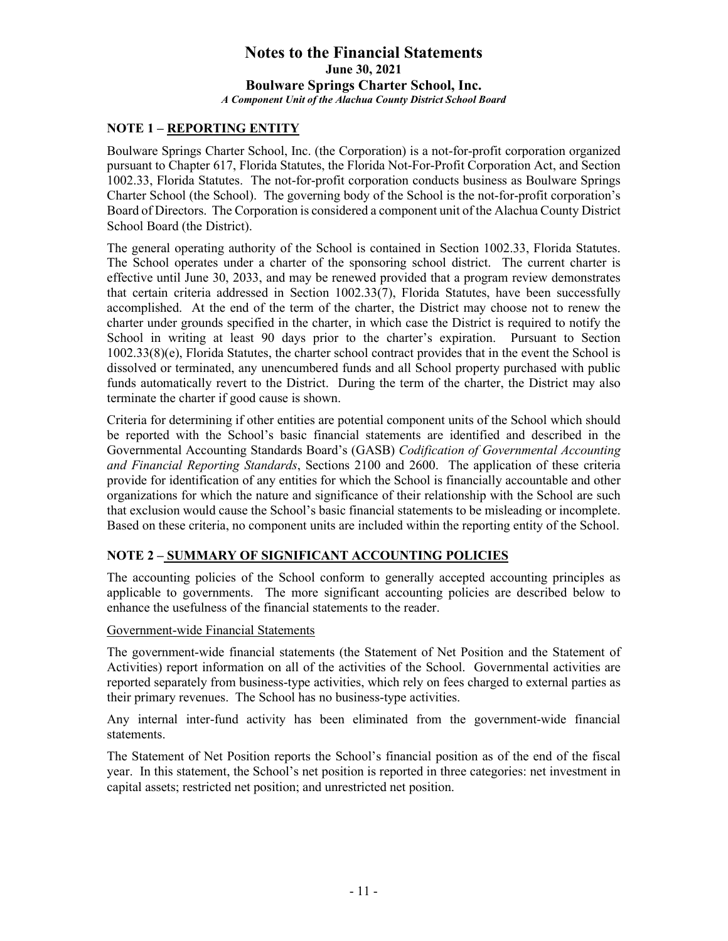## **NOTE 1 – REPORTING ENTITY**

Boulware Springs Charter School, Inc. (the Corporation) is a not-for-profit corporation organized pursuant to Chapter 617, Florida Statutes, the Florida Not-For-Profit Corporation Act, and Section 1002.33, Florida Statutes. The not-for-profit corporation conducts business as Boulware Springs Charter School (the School). The governing body of the School is the not-for-profit corporation's Board of Directors. The Corporation is considered a component unit of the Alachua County District School Board (the District).

The general operating authority of the School is contained in Section 1002.33, Florida Statutes. The School operates under a charter of the sponsoring school district. The current charter is effective until June 30, 2033, and may be renewed provided that a program review demonstrates that certain criteria addressed in Section 1002.33(7), Florida Statutes, have been successfully accomplished. At the end of the term of the charter, the District may choose not to renew the charter under grounds specified in the charter, in which case the District is required to notify the School in writing at least 90 days prior to the charter's expiration. Pursuant to Section 1002.33(8)(e), Florida Statutes, the charter school contract provides that in the event the School is dissolved or terminated, any unencumbered funds and all School property purchased with public funds automatically revert to the District. During the term of the charter, the District may also terminate the charter if good cause is shown.

Criteria for determining if other entities are potential component units of the School which should be reported with the School's basic financial statements are identified and described in the Governmental Accounting Standards Board's (GASB) *Codification of Governmental Accounting and Financial Reporting Standards*, Sections 2100 and 2600. The application of these criteria provide for identification of any entities for which the School is financially accountable and other organizations for which the nature and significance of their relationship with the School are such that exclusion would cause the School's basic financial statements to be misleading or incomplete. Based on these criteria, no component units are included within the reporting entity of the School.

## **NOTE 2 – SUMMARY OF SIGNIFICANT ACCOUNTING POLICIES**

The accounting policies of the School conform to generally accepted accounting principles as applicable to governments. The more significant accounting policies are described below to enhance the usefulness of the financial statements to the reader.

### Government-wide Financial Statements

The government-wide financial statements (the Statement of Net Position and the Statement of Activities) report information on all of the activities of the School. Governmental activities are reported separately from business-type activities, which rely on fees charged to external parties as their primary revenues. The School has no business-type activities.

Any internal inter-fund activity has been eliminated from the government-wide financial statements.

The Statement of Net Position reports the School's financial position as of the end of the fiscal year. In this statement, the School's net position is reported in three categories: net investment in capital assets; restricted net position; and unrestricted net position.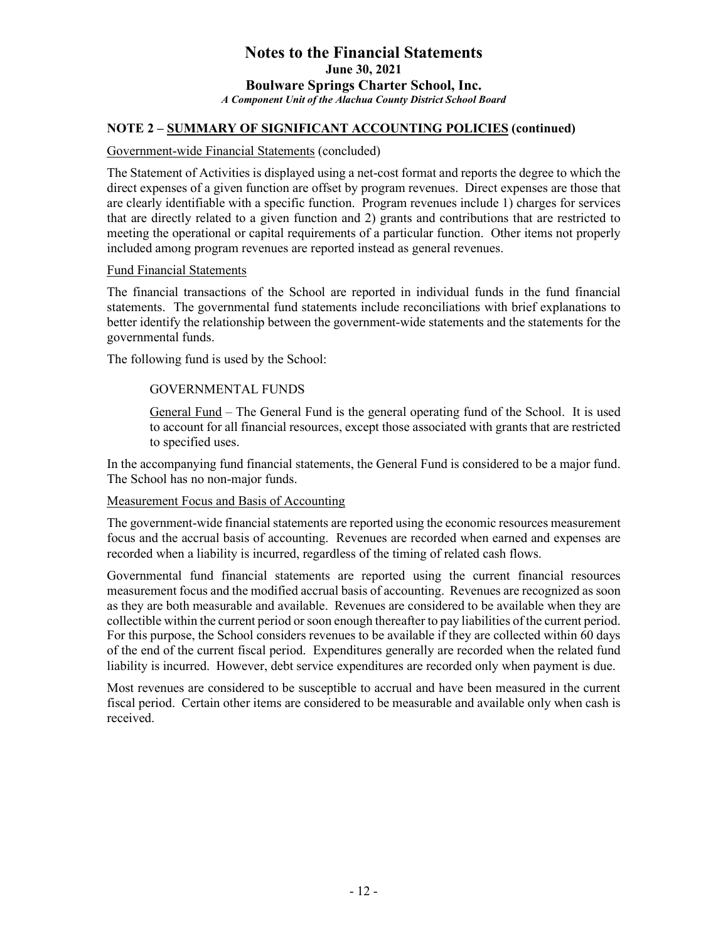### **NOTE 2 – SUMMARY OF SIGNIFICANT ACCOUNTING POLICIES (continued)**

### Government-wide Financial Statements (concluded)

The Statement of Activities is displayed using a net-cost format and reports the degree to which the direct expenses of a given function are offset by program revenues. Direct expenses are those that are clearly identifiable with a specific function. Program revenues include 1) charges for services that are directly related to a given function and 2) grants and contributions that are restricted to meeting the operational or capital requirements of a particular function. Other items not properly included among program revenues are reported instead as general revenues.

### Fund Financial Statements

The financial transactions of the School are reported in individual funds in the fund financial statements. The governmental fund statements include reconciliations with brief explanations to better identify the relationship between the government-wide statements and the statements for the governmental funds.

The following fund is used by the School:

### GOVERNMENTAL FUNDS

General Fund – The General Fund is the general operating fund of the School. It is used to account for all financial resources, except those associated with grants that are restricted to specified uses.

In the accompanying fund financial statements, the General Fund is considered to be a major fund. The School has no non-major funds.

### Measurement Focus and Basis of Accounting

The government-wide financial statements are reported using the economic resources measurement focus and the accrual basis of accounting. Revenues are recorded when earned and expenses are recorded when a liability is incurred, regardless of the timing of related cash flows.

Governmental fund financial statements are reported using the current financial resources measurement focus and the modified accrual basis of accounting. Revenues are recognized as soon as they are both measurable and available. Revenues are considered to be available when they are collectible within the current period or soon enough thereafter to pay liabilities of the current period. For this purpose, the School considers revenues to be available if they are collected within 60 days of the end of the current fiscal period. Expenditures generally are recorded when the related fund liability is incurred. However, debt service expenditures are recorded only when payment is due.

Most revenues are considered to be susceptible to accrual and have been measured in the current fiscal period. Certain other items are considered to be measurable and available only when cash is received.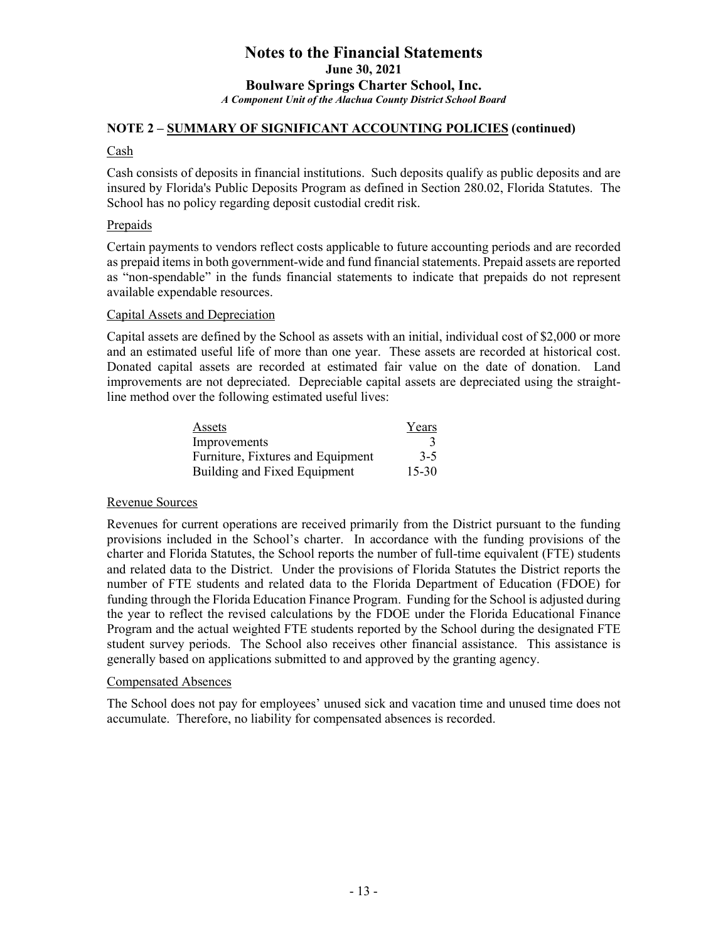### **NOTE 2 – SUMMARY OF SIGNIFICANT ACCOUNTING POLICIES (continued)**

### Cash

Cash consists of deposits in financial institutions. Such deposits qualify as public deposits and are insured by Florida's Public Deposits Program as defined in Section 280.02, Florida Statutes. The School has no policy regarding deposit custodial credit risk.

### Prepaids

Certain payments to vendors reflect costs applicable to future accounting periods and are recorded as prepaid items in both government-wide and fund financial statements. Prepaid assets are reported as "non-spendable" in the funds financial statements to indicate that prepaids do not represent available expendable resources.

### Capital Assets and Depreciation

Capital assets are defined by the School as assets with an initial, individual cost of \$2,000 or more and an estimated useful life of more than one year. These assets are recorded at historical cost. Donated capital assets are recorded at estimated fair value on the date of donation. Land improvements are not depreciated. Depreciable capital assets are depreciated using the straightline method over the following estimated useful lives:

| Assets                            | Years     |
|-----------------------------------|-----------|
| Improvements                      |           |
| Furniture, Fixtures and Equipment | $3 - 5$   |
| Building and Fixed Equipment      | $15 - 30$ |

### Revenue Sources

Revenues for current operations are received primarily from the District pursuant to the funding provisions included in the School's charter. In accordance with the funding provisions of the charter and Florida Statutes, the School reports the number of full-time equivalent (FTE) students and related data to the District. Under the provisions of Florida Statutes the District reports the number of FTE students and related data to the Florida Department of Education (FDOE) for funding through the Florida Education Finance Program. Funding for the School is adjusted during the year to reflect the revised calculations by the FDOE under the Florida Educational Finance Program and the actual weighted FTE students reported by the School during the designated FTE student survey periods. The School also receives other financial assistance. This assistance is generally based on applications submitted to and approved by the granting agency.

### Compensated Absences

The School does not pay for employees' unused sick and vacation time and unused time does not accumulate. Therefore, no liability for compensated absences is recorded.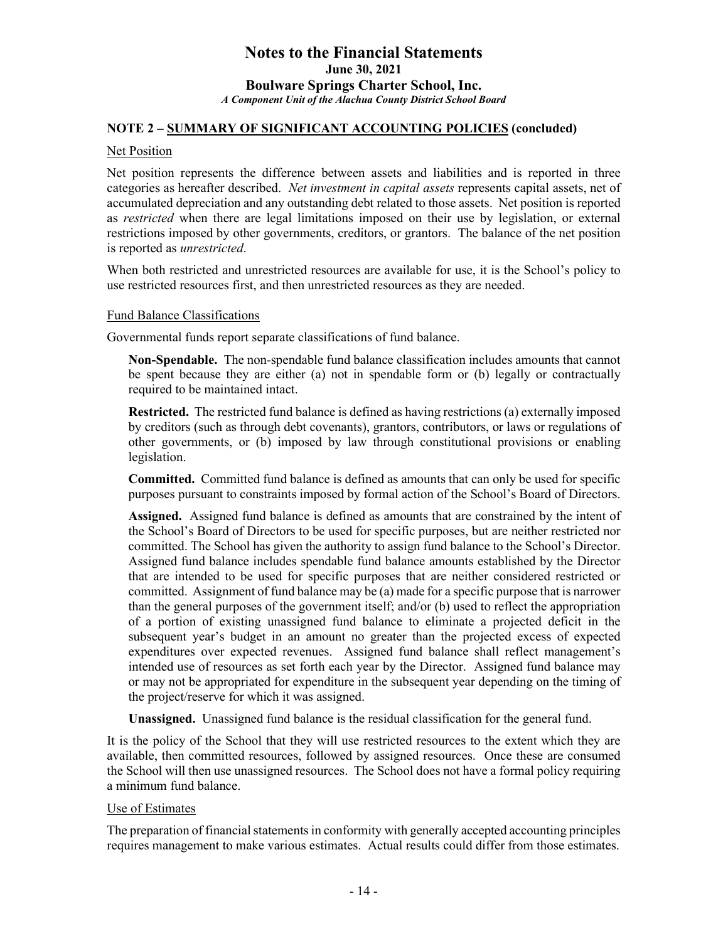### **NOTE 2 – SUMMARY OF SIGNIFICANT ACCOUNTING POLICIES (concluded)**

### Net Position

Net position represents the difference between assets and liabilities and is reported in three categories as hereafter described. *Net investment in capital assets* represents capital assets, net of accumulated depreciation and any outstanding debt related to those assets. Net position is reported as *restricted* when there are legal limitations imposed on their use by legislation, or external restrictions imposed by other governments, creditors, or grantors. The balance of the net position is reported as *unrestricted*.

When both restricted and unrestricted resources are available for use, it is the School's policy to use restricted resources first, and then unrestricted resources as they are needed.

### Fund Balance Classifications

Governmental funds report separate classifications of fund balance.

**Non-Spendable.** The non-spendable fund balance classification includes amounts that cannot be spent because they are either (a) not in spendable form or (b) legally or contractually required to be maintained intact.

**Restricted.** The restricted fund balance is defined as having restrictions (a) externally imposed by creditors (such as through debt covenants), grantors, contributors, or laws or regulations of other governments, or (b) imposed by law through constitutional provisions or enabling legislation.

**Committed.** Committed fund balance is defined as amounts that can only be used for specific purposes pursuant to constraints imposed by formal action of the School's Board of Directors.

**Assigned.** Assigned fund balance is defined as amounts that are constrained by the intent of the School's Board of Directors to be used for specific purposes, but are neither restricted nor committed. The School has given the authority to assign fund balance to the School's Director. Assigned fund balance includes spendable fund balance amounts established by the Director that are intended to be used for specific purposes that are neither considered restricted or committed. Assignment of fund balance may be (a) made for a specific purpose that is narrower than the general purposes of the government itself; and/or (b) used to reflect the appropriation of a portion of existing unassigned fund balance to eliminate a projected deficit in the subsequent year's budget in an amount no greater than the projected excess of expected expenditures over expected revenues. Assigned fund balance shall reflect management's intended use of resources as set forth each year by the Director. Assigned fund balance may or may not be appropriated for expenditure in the subsequent year depending on the timing of the project/reserve for which it was assigned.

**Unassigned.** Unassigned fund balance is the residual classification for the general fund.

It is the policy of the School that they will use restricted resources to the extent which they are available, then committed resources, followed by assigned resources. Once these are consumed the School will then use unassigned resources. The School does not have a formal policy requiring a minimum fund balance.

### Use of Estimates

The preparation of financial statements in conformity with generally accepted accounting principles requires management to make various estimates. Actual results could differ from those estimates.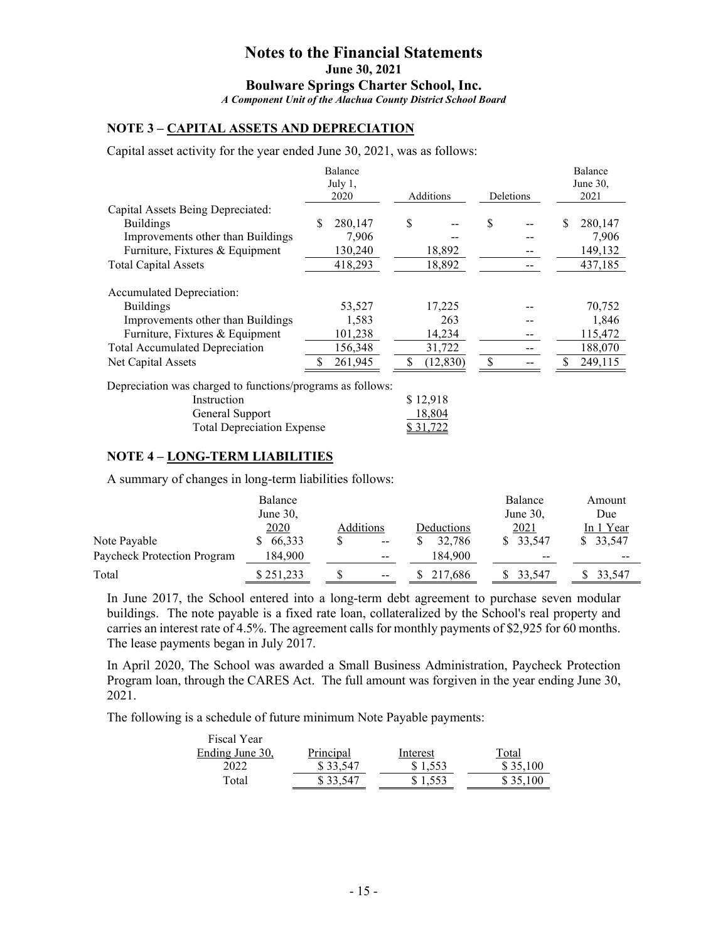### **NOTE 3 – CAPITAL ASSETS AND DEPRECIATION**

Capital asset activity for the year ended June 30, 2021, was as follows:

|                                       |   | <b>Balance</b><br>July $1$ ,<br>2020 |   | Additions | <b>Deletions</b> |  | Balance<br>June 30,<br>2021 |
|---------------------------------------|---|--------------------------------------|---|-----------|------------------|--|-----------------------------|
| Capital Assets Being Depreciated:     |   |                                      |   |           |                  |  |                             |
| <b>Buildings</b>                      | S | 280,147                              | S |           | S                |  | 280,147                     |
| Improvements other than Buildings     |   | 7.906                                |   |           |                  |  | 7.906                       |
| Furniture, Fixtures & Equipment       |   | 130,240                              |   | 18,892    |                  |  | 149,132                     |
| <b>Total Capital Assets</b>           |   | 418,293                              |   | 18,892    |                  |  | 437,185                     |
| Accumulated Depreciation:             |   |                                      |   |           |                  |  |                             |
| <b>Buildings</b>                      |   | 53,527                               |   | 17,225    |                  |  | 70.752                      |
| Improvements other than Buildings     |   | 1,583                                |   | 263       |                  |  | 1,846                       |
| Furniture, Fixtures & Equipment       |   | 101,238                              |   | 14,234    |                  |  | 115,472                     |
| <b>Total Accumulated Depreciation</b> |   | 156,348                              |   | 31,722    |                  |  | 188,070                     |
| Net Capital Assets                    |   | 261,945                              |   | (12, 830) |                  |  | 249,115                     |
|                                       |   |                                      |   |           |                  |  |                             |

| Depreciation was charged to functions/programs as follows: |           |
|------------------------------------------------------------|-----------|
| Instruction                                                | \$12.918  |
| General Support                                            | 18.804    |
| <b>Total Depreciation Expense</b>                          | \$ 31,722 |

### **NOTE 4 – LONG-TERM LIABILITIES**

A summary of changes in long-term liabilities follows:

|                             | Balance<br>June $30$ , |                                       |            | Balance<br>June $30$ ,   | Amount<br>Due     |
|-----------------------------|------------------------|---------------------------------------|------------|--------------------------|-------------------|
|                             | 2020                   | Additions                             | Deductions | 2021                     | In 1 Year         |
| Note Payable                | 66,333                 | $\hspace{0.05cm}$ – $\hspace{0.05cm}$ | 32.786     | 33,547                   | \$33,547          |
| Paycheck Protection Program | 184,900                | $\overline{\phantom{m}}$              | 184.900    | $\overline{\phantom{m}}$ | $\hspace{0.05cm}$ |
| Total                       | \$251,233              | $\hspace{0.05cm}$ – $\hspace{0.05cm}$ | 217,686    | 33,547                   | 33,547            |

In June 2017, the School entered into a long-term debt agreement to purchase seven modular buildings. The note payable is a fixed rate loan, collateralized by the School's real property and carries an interest rate of 4.5%. The agreement calls for monthly payments of \$2,925 for 60 months. The lease payments began in July 2017.

In April 2020, The School was awarded a Small Business Administration, Paycheck Protection Program loan, through the CARES Act. The full amount was forgiven in the year ending June 30, 2021.

The following is a schedule of future minimum Note Payable payments:

| Fiscal Year     |           |          |          |
|-----------------|-----------|----------|----------|
| Ending June 30, | Principal | Interest | Total    |
| 2022            | \$33.547  | \$1,553  | \$35,100 |
| Total           | \$33.547  | \$1.553  | \$35,100 |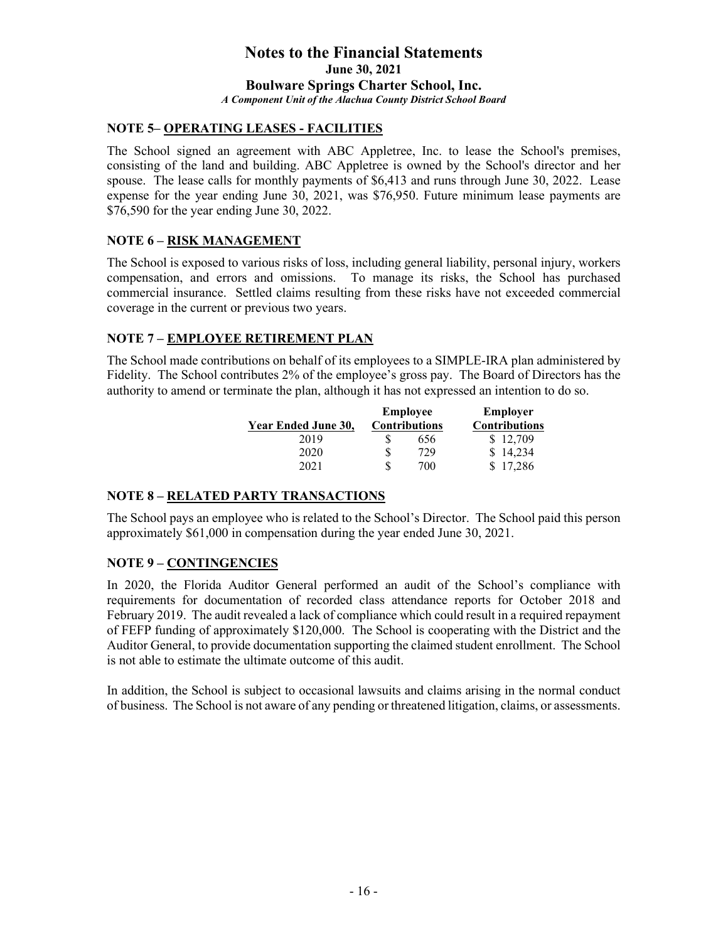## **NOTE 5– OPERATING LEASES - FACILITIES**

The School signed an agreement with ABC Appletree, Inc. to lease the School's premises, consisting of the land and building. ABC Appletree is owned by the School's director and her spouse. The lease calls for monthly payments of \$6,413 and runs through June 30, 2022. Lease expense for the year ending June 30, 2021, was \$76,950. Future minimum lease payments are \$76,590 for the year ending June 30, 2022.

### **NOTE 6 – RISK MANAGEMENT**

The School is exposed to various risks of loss, including general liability, personal injury, workers compensation, and errors and omissions. To manage its risks, the School has purchased commercial insurance. Settled claims resulting from these risks have not exceeded commercial coverage in the current or previous two years.

### **NOTE 7 – EMPLOYEE RETIREMENT PLAN**

The School made contributions on behalf of its employees to a SIMPLE-IRA plan administered by Fidelity. The School contributes 2% of the employee's gross pay. The Board of Directors has the authority to amend or terminate the plan, although it has not expressed an intention to do so.

|                     | <b>Employee</b>      | <b>Employer</b>      |  |  |
|---------------------|----------------------|----------------------|--|--|
| Year Ended June 30, | <b>Contributions</b> | <b>Contributions</b> |  |  |
| 2019                | 656                  | \$12.709             |  |  |
| 2020                | 729                  | \$14,234             |  |  |
| 2021                | 700                  | \$17,286             |  |  |

## **NOTE 8 – RELATED PARTY TRANSACTIONS**

The School pays an employee who is related to the School's Director. The School paid this person approximately \$61,000 in compensation during the year ended June 30, 2021.

## **NOTE 9 – CONTINGENCIES**

In 2020, the Florida Auditor General performed an audit of the School's compliance with requirements for documentation of recorded class attendance reports for October 2018 and February 2019. The audit revealed a lack of compliance which could result in a required repayment of FEFP funding of approximately \$120,000. The School is cooperating with the District and the Auditor General, to provide documentation supporting the claimed student enrollment. The School is not able to estimate the ultimate outcome of this audit.

In addition, the School is subject to occasional lawsuits and claims arising in the normal conduct of business. The School is not aware of any pending or threatened litigation, claims, or assessments.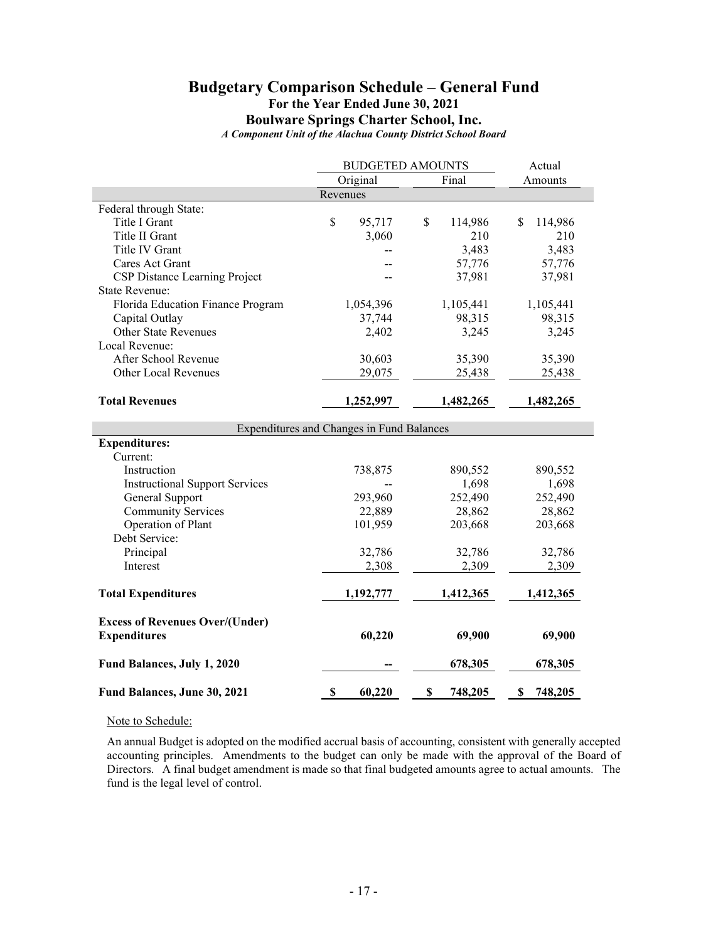# **Budgetary Comparison Schedule – General Fund For the Year Ended June 30, 2021 Boulware Springs Charter School, Inc.**

*A Component Unit of the Alachua County District School Board*

|                                           | <b>BUDGETED AMOUNTS</b> |           |    | Actual    |               |
|-------------------------------------------|-------------------------|-----------|----|-----------|---------------|
|                                           | Original<br>Final       |           |    | Amounts   |               |
|                                           | Revenues                |           |    |           |               |
| Federal through State:                    |                         |           |    |           |               |
| Title I Grant                             | \$                      | 95,717    | \$ | 114,986   | \$<br>114,986 |
| Title II Grant                            |                         | 3,060     |    | 210       | 210           |
| Title IV Grant                            |                         |           |    | 3,483     | 3,483         |
| Cares Act Grant                           |                         |           |    | 57,776    | 57,776        |
| CSP Distance Learning Project             |                         |           |    | 37,981    | 37,981        |
| <b>State Revenue:</b>                     |                         |           |    |           |               |
| Florida Education Finance Program         |                         | 1,054,396 |    | 1,105,441 | 1,105,441     |
| Capital Outlay                            |                         | 37,744    |    | 98,315    | 98,315        |
| <b>Other State Revenues</b>               |                         | 2,402     |    | 3,245     | 3,245         |
| Local Revenue:                            |                         |           |    |           |               |
| After School Revenue                      |                         | 30,603    |    | 35,390    | 35,390        |
| Other Local Revenues                      |                         | 29,075    |    | 25,438    | 25,438        |
|                                           |                         |           |    |           |               |
| <b>Total Revenues</b>                     |                         | 1,252,997 |    | 1,482,265 | 1,482,265     |
|                                           |                         |           |    |           |               |
| Expenditures and Changes in Fund Balances |                         |           |    |           |               |
| <b>Expenditures:</b>                      |                         |           |    |           |               |
| Current:                                  |                         |           |    |           |               |
| Instruction                               |                         | 738,875   |    | 890,552   | 890,552       |
| <b>Instructional Support Services</b>     |                         |           |    | 1,698     | 1,698         |
| General Support                           |                         | 293,960   |    | 252,490   | 252,490       |
| <b>Community Services</b>                 |                         | 22,889    |    | 28,862    | 28,862        |
| Operation of Plant                        |                         | 101,959   |    | 203,668   | 203,668       |
| Debt Service:                             |                         |           |    |           |               |
| Principal                                 |                         | 32,786    |    | 32,786    | 32,786        |
| Interest                                  |                         | 2,308     |    | 2,309     | 2,309         |
|                                           |                         |           |    |           |               |
| <b>Total Expenditures</b>                 |                         | 1,192,777 |    | 1,412,365 | 1,412,365     |
|                                           |                         |           |    |           |               |
| <b>Excess of Revenues Over/(Under)</b>    |                         |           |    |           |               |
| <b>Expenditures</b>                       |                         | 60,220    |    | 69,900    | 69,900        |
|                                           |                         |           |    |           |               |
| Fund Balances, July 1, 2020               |                         |           |    | 678,305   | 678,305       |
|                                           |                         |           |    |           |               |
| Fund Balances, June 30, 2021              | \$                      | 60,220    | \$ | 748,205   | \$<br>748,205 |

#### Note to Schedule:

An annual Budget is adopted on the modified accrual basis of accounting, consistent with generally accepted accounting principles. Amendments to the budget can only be made with the approval of the Board of Directors. A final budget amendment is made so that final budgeted amounts agree to actual amounts. The fund is the legal level of control.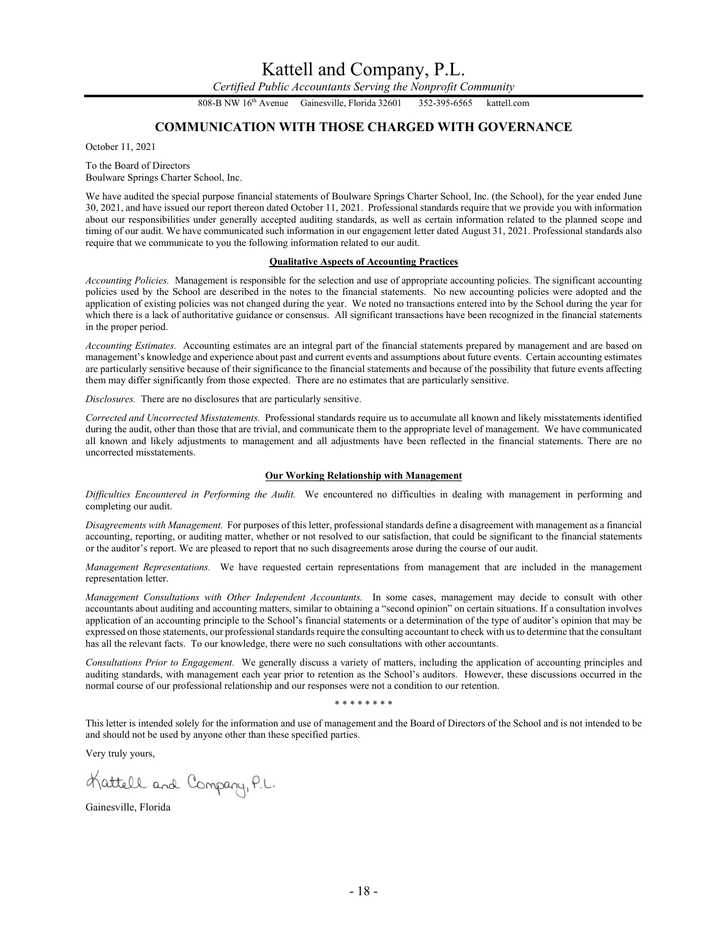*Certified Public Accountants Serving the Nonprofit Community*

808-B NW 16th Avenue Gainesville, Florida 32601 352-395-6565 kattell.com

### **COMMUNICATION WITH THOSE CHARGED WITH GOVERNANCE**

October 11, 2021

To the Board of Directors Boulware Springs Charter School, Inc.

We have audited the special purpose financial statements of Boulware Springs Charter School, Inc. (the School), for the year ended June 30, 2021, and have issued our report thereon dated October 11, 2021. Professional standards require that we provide you with information about our responsibilities under generally accepted auditing standards, as well as certain information related to the planned scope and timing of our audit. We have communicated such information in our engagement letter dated August 31, 2021. Professional standards also require that we communicate to you the following information related to our audit.

#### **Qualitative Aspects of Accounting Practices**

*Accounting Policies.* Management is responsible for the selection and use of appropriate accounting policies. The significant accounting policies used by the School are described in the notes to the financial statements. No new accounting policies were adopted and the application of existing policies was not changed during the year. We noted no transactions entered into by the School during the year for which there is a lack of authoritative guidance or consensus. All significant transactions have been recognized in the financial statements in the proper period.

*Accounting Estimates.* Accounting estimates are an integral part of the financial statements prepared by management and are based on management's knowledge and experience about past and current events and assumptions about future events. Certain accounting estimates are particularly sensitive because of their significance to the financial statements and because of the possibility that future events affecting them may differ significantly from those expected. There are no estimates that are particularly sensitive.

*Disclosures.* There are no disclosures that are particularly sensitive.

*Corrected and Uncorrected Misstatements.* Professional standards require us to accumulate all known and likely misstatements identified during the audit, other than those that are trivial, and communicate them to the appropriate level of management. We have communicated all known and likely adjustments to management and all adjustments have been reflected in the financial statements. There are no uncorrected misstatements.

#### **Our Working Relationship with Management**

*Difficulties Encountered in Performing the Audit.* We encountered no difficulties in dealing with management in performing and completing our audit.

*Disagreements with Management.* For purposes of this letter, professional standards define a disagreement with management as a financial accounting, reporting, or auditing matter, whether or not resolved to our satisfaction, that could be significant to the financial statements or the auditor's report. We are pleased to report that no such disagreements arose during the course of our audit.

*Management Representations.* We have requested certain representations from management that are included in the management representation letter.

*Management Consultations with Other Independent Accountants.* In some cases, management may decide to consult with other accountants about auditing and accounting matters, similar to obtaining a "second opinion" on certain situations. If a consultation involves application of an accounting principle to the School's financial statements or a determination of the type of auditor's opinion that may be expressed on those statements, our professional standards require the consulting accountant to check with us to determine that the consultant has all the relevant facts. To our knowledge, there were no such consultations with other accountants.

*Consultations Prior to Engagement.* We generally discuss a variety of matters, including the application of accounting principles and auditing standards, with management each year prior to retention as the School's auditors. However, these discussions occurred in the normal course of our professional relationship and our responses were not a condition to our retention.

\* \* \* \* \* \* \* \*

This letter is intended solely for the information and use of management and the Board of Directors of the School and is not intended to be and should not be used by anyone other than these specified parties.

Very truly yours,

Kattell and Company, P.L.

Gainesville, Florida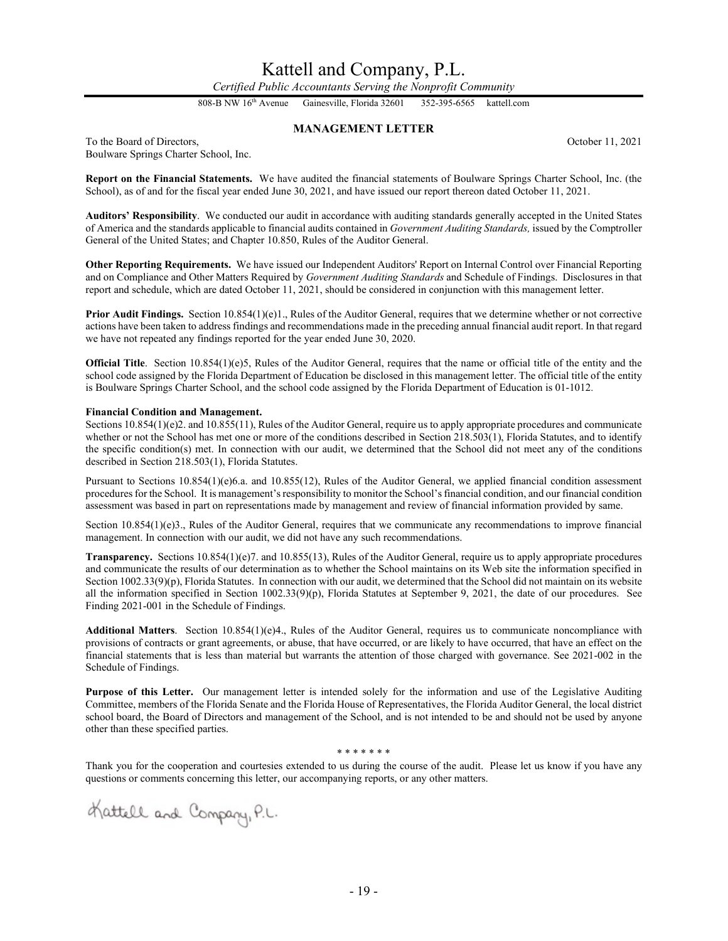*Certified Public Accountants Serving the Nonprofit Community*

808-B NW 16th Avenue Gainesville, Florida 32601 352-395-6565 kattell.com

#### **MANAGEMENT LETTER**

To the Board of Directors,  $\qquad \qquad$  October 11, 2021 Boulware Springs Charter School, Inc.

**Report on the Financial Statements.** We have audited the financial statements of Boulware Springs Charter School, Inc. (the School), as of and for the fiscal year ended June 30, 2021, and have issued our report thereon dated October 11, 2021.

**Auditors' Responsibility**. We conducted our audit in accordance with auditing standards generally accepted in the United States of America and the standards applicable to financial audits contained in *Government Auditing Standards,* issued by the Comptroller General of the United States; and Chapter 10.850, Rules of the Auditor General.

**Other Reporting Requirements.** We have issued our Independent Auditors' Report on Internal Control over Financial Reporting and on Compliance and Other Matters Required by *Government Auditing Standards* and Schedule of Findings. Disclosures in that report and schedule, which are dated October 11, 2021, should be considered in conjunction with this management letter.

**Prior Audit Findings.** Section 10.854(1)(e)1., Rules of the Auditor General, requires that we determine whether or not corrective actions have been taken to address findings and recommendations made in the preceding annual financial audit report. In that regard we have not repeated any findings reported for the year ended June 30, 2020.

**Official Title**. Section 10.854(1)(e)5, Rules of the Auditor General, requires that the name or official title of the entity and the school code assigned by the Florida Department of Education be disclosed in this management letter. The official title of the entity is Boulware Springs Charter School, and the school code assigned by the Florida Department of Education is 01-1012.

#### **Financial Condition and Management.**

Sections 10.854(1)(e)2. and 10.855(11), Rules of the Auditor General, require us to apply appropriate procedures and communicate whether or not the School has met one or more of the conditions described in Section 218.503(1), Florida Statutes, and to identify the specific condition(s) met. In connection with our audit, we determined that the School did not meet any of the conditions described in Section 218.503(1), Florida Statutes.

Pursuant to Sections 10.854(1)(e)6.a. and 10.855(12), Rules of the Auditor General, we applied financial condition assessment procedures for the School. It is management'sresponsibility to monitor the School's financial condition, and our financial condition assessment was based in part on representations made by management and review of financial information provided by same.

Section 10.854(1)(e)3., Rules of the Auditor General, requires that we communicate any recommendations to improve financial management. In connection with our audit, we did not have any such recommendations.

**Transparency.** Sections 10.854(1)(e)7. and 10.855(13), Rules of the Auditor General, require us to apply appropriate procedures and communicate the results of our determination as to whether the School maintains on its Web site the information specified in Section 1002.33(9)(p), Florida Statutes. In connection with our audit, we determined that the School did not maintain on its website all the information specified in Section  $1002.33(9)(p)$ , Florida Statutes at September 9, 2021, the date of our procedures. See Finding 2021-001 in the Schedule of Findings.

**Additional Matters**. Section 10.854(1)(e)4., Rules of the Auditor General, requires us to communicate noncompliance with provisions of contracts or grant agreements, or abuse, that have occurred, or are likely to have occurred, that have an effect on the financial statements that is less than material but warrants the attention of those charged with governance. See 2021-002 in the Schedule of Findings.

Purpose of this Letter. Our management letter is intended solely for the information and use of the Legislative Auditing Committee, members of the Florida Senate and the Florida House of Representatives, the Florida Auditor General, the local district school board, the Board of Directors and management of the School, and is not intended to be and should not be used by anyone other than these specified parties.

#### \* \* \* \* \* \* \*

Thank you for the cooperation and courtesies extended to us during the course of the audit. Please let us know if you have any questions or comments concerning this letter, our accompanying reports, or any other matters.

Kattell and Company, P.L.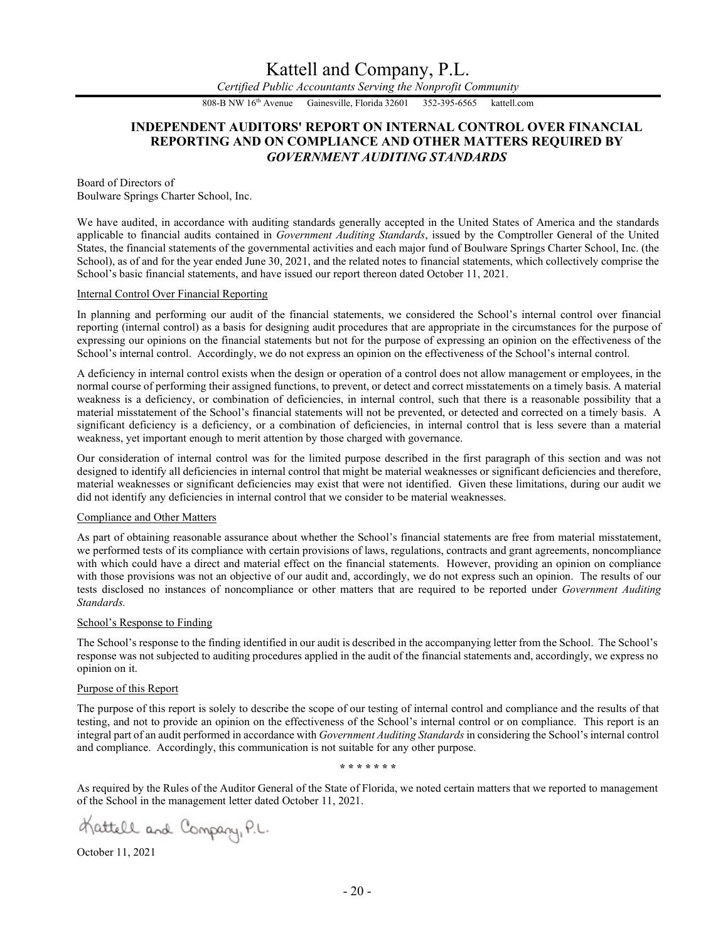*Certified Public Accountants Serving the Nonprofit Community*

808-B NW 16th Avenue Gainesville, Florida 32601 352-395-6565 kattell.com

### **INDEPENDENT AUDITORS' REPORT ON INTERNAL CONTROL OVER FINANCIAL REPORTING AND ON COMPLIANCE AND OTHER MATTERS REQUIRED BY**  *GOVERNMENT AUDITING STANDARDS*

Board of Directors of Boulware Springs Charter School, Inc.

We have audited, in accordance with auditing standards generally accepted in the United States of America and the standards applicable to financial audits contained in *Government Auditing Standards*, issued by the Comptroller General of the United States, the financial statements of the governmental activities and each major fund of Boulware Springs Charter School, Inc. (the School), as of and for the year ended June 30, 2021, and the related notes to financial statements, which collectively comprise the School's basic financial statements, and have issued our report thereon dated October 11, 2021.

#### Internal Control Over Financial Reporting

In planning and performing our audit of the financial statements, we considered the School's internal control over financial reporting (internal control) as a basis for designing audit procedures that are appropriate in the circumstances for the purpose of expressing our opinions on the financial statements but not for the purpose of expressing an opinion on the effectiveness of the School's internal control. Accordingly, we do not express an opinion on the effectiveness of the School's internal control.

A deficiency in internal control exists when the design or operation of a control does not allow management or employees, in the normal course of performing their assigned functions, to prevent, or detect and correct misstatements on a timely basis. A material weakness is a deficiency, or combination of deficiencies, in internal control, such that there is a reasonable possibility that a material misstatement of the School's financial statements will not be prevented, or detected and corrected on a timely basis. A significant deficiency is a deficiency, or a combination of deficiencies, in internal control that is less severe than a material weakness, yet important enough to merit attention by those charged with governance.

Our consideration of internal control was for the limited purpose described in the first paragraph of this section and was not designed to identify all deficiencies in internal control that might be material weaknesses or significant deficiencies and therefore, material weaknesses or significant deficiencies may exist that were not identified. Given these limitations, during our audit we did not identify any deficiencies in internal control that we consider to be material weaknesses.

#### Compliance and Other Matters

As part of obtaining reasonable assurance about whether the School's financial statements are free from material misstatement, we performed tests of its compliance with certain provisions of laws, regulations, contracts and grant agreements, noncompliance with which could have a direct and material effect on the financial statements. However, providing an opinion on compliance with those provisions was not an objective of our audit and, accordingly, we do not express such an opinion. The results of our tests disclosed no instances of noncompliance or other matters that are required to be reported under *Government Auditing Standards.*

#### School's Response to Finding

The School's response to the finding identified in our audit is described in the accompanying letter from the School. The School's response was not subjected to auditing procedures applied in the audit of the financial statements and, accordingly, we express no opinion on it.

#### Purpose of this Report

The purpose of this report is solely to describe the scope of our testing of internal control and compliance and the results of that testing, and not to provide an opinion on the effectiveness of the School's internal control or on compliance. This report is an integral part of an audit performed in accordance with *Government Auditing Standards* in considering the School's internal control and compliance. Accordingly, this communication is not suitable for any other purpose.

**\* \* \* \* \* \* \***

As required by the Rules of the Auditor General of the State of Florida, we noted certain matters that we reported to management of the School in the management letter dated October 11, 2021.

Kattell and Company, P.L.

October 11, 2021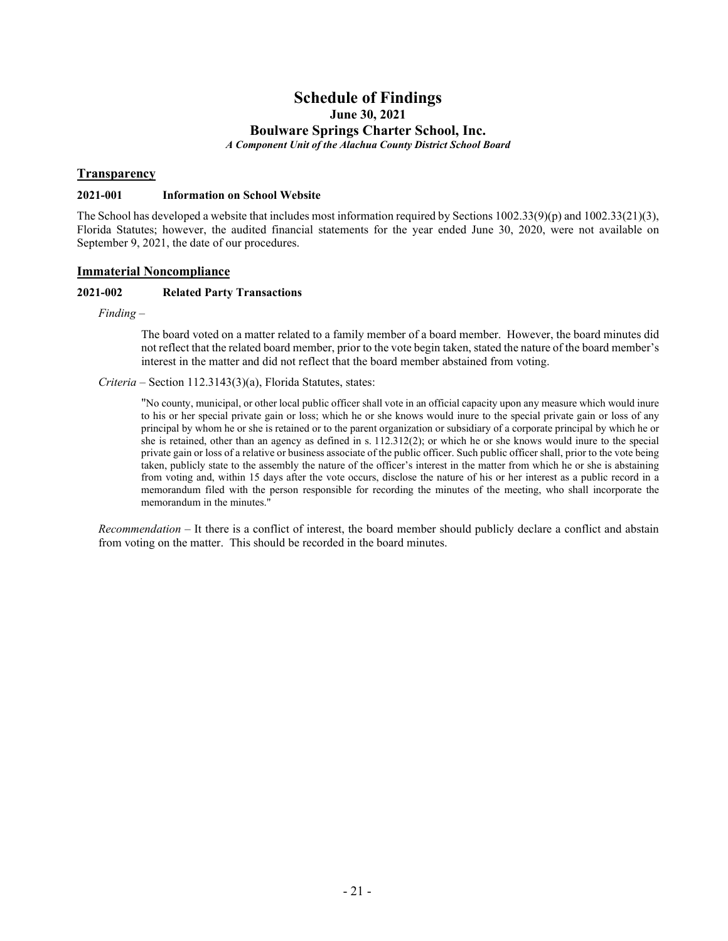## **Schedule of Findings June 30, 2021 Boulware Springs Charter School, Inc.** *A Component Unit of the Alachua County District School Board*

### **Transparency**

#### **2021-001 Information on School Website**

The School has developed a website that includes most information required by Sections  $1002.33(9)(p)$  and  $1002.33(21)(3)$ , Florida Statutes; however, the audited financial statements for the year ended June 30, 2020, were not available on September 9, 2021, the date of our procedures.

#### **Immaterial Noncompliance**

#### **2021-002 Related Party Transactions**

*Finding –*

The board voted on a matter related to a family member of a board member. However, the board minutes did not reflect that the related board member, prior to the vote begin taken, stated the nature of the board member's interest in the matter and did not reflect that the board member abstained from voting.

*Criteria* – Section 112.3143(3)(a), Florida Statutes, states:

"No county, municipal, or other local public officer shall vote in an official capacity upon any measure which would inure to his or her special private gain or loss; which he or she knows would inure to the special private gain or loss of any principal by whom he or she is retained or to the parent organization or subsidiary of a corporate principal by which he or she is retained, other than an agency as defined in s. [112.312\(](http://www.leg.state.fl.us/Statutes/index.cfm?App_mode=Display_Statute&Search_String=&URL=0100-0199/0112/Sections/0112.312.html)2); or which he or she knows would inure to the special private gain or loss of a relative or business associate of the public officer. Such public officer shall, prior to the vote being taken, publicly state to the assembly the nature of the officer's interest in the matter from which he or she is abstaining from voting and, within 15 days after the vote occurs, disclose the nature of his or her interest as a public record in a memorandum filed with the person responsible for recording the minutes of the meeting, who shall incorporate the memorandum in the minutes."

*Recommendation –* It there is a conflict of interest, the board member should publicly declare a conflict and abstain from voting on the matter. This should be recorded in the board minutes.